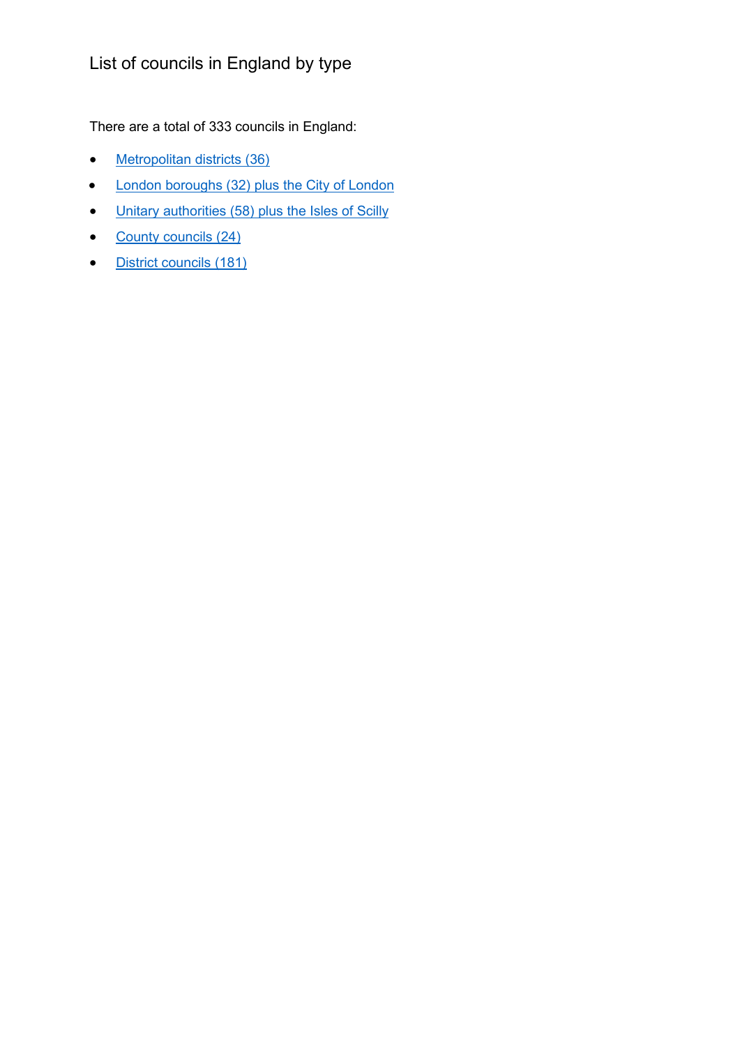## List of councils in England by type

There are a total of 333 councils in England:

- [Metropolitan districts \(36\)](#page-1-0)
- [London boroughs \(32\) plus the City of London](#page-2-0)
- [Unitary authorities \(58\) plus the Isles of Scilly](#page-3-0)
- [County councils \(24\)](#page-4-0)
- [District councils \(181\)](#page-5-0)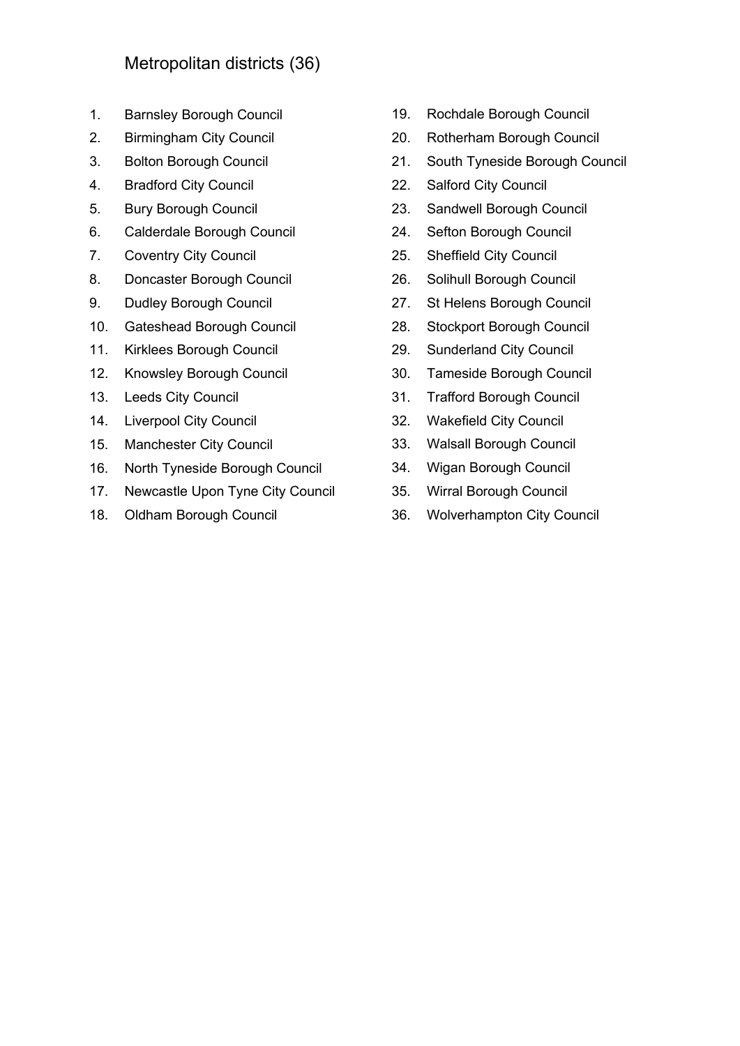## <span id="page-1-0"></span>Metropolitan districts (36)

- 1. Barnsley Borough Council
- 2. Birmingham City Council
- 3. Bolton Borough Council
- 4. Bradford City Council
- 5. Bury Borough Council
- 6. Calderdale Borough Council
- 7. Coventry City Council
- 8. Doncaster Borough Council
- 9. Dudley Borough Council
- 10. Gateshead Borough Council
- 11. Kirklees Borough Council
- 12. Knowsley Borough Council
- 13. Leeds City Council
- 14. Liverpool City Council
- 15. Manchester City Council
- 16. North Tyneside Borough Council
- 17. Newcastle Upon Tyne City Council
- 18. Oldham Borough Council
- 19. Rochdale Borough Council
- 20. Rotherham Borough Council
- 21. South Tyneside Borough Council
- 22. Salford City Council
- 23. Sandwell Borough Council
- 24. Sefton Borough Council
- 25. Sheffield City Council
- 26. Solihull Borough Council
- 27. St Helens Borough Council
- 28. Stockport Borough Council
- 29. Sunderland City Council
- 30. Tameside Borough Council
- 31. Trafford Borough Council
- 32. Wakefield City Council
- 33. Walsall Borough Council
- 34. Wigan Borough Council
- 35. Wirral Borough Council
- 36. Wolverhampton City Council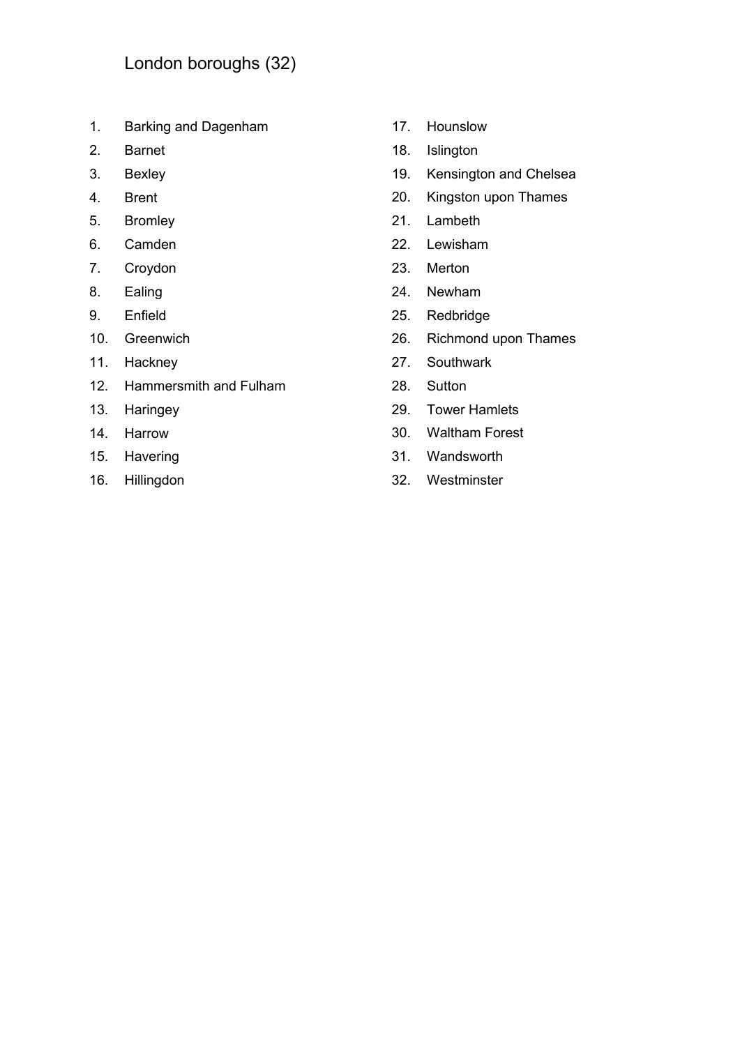- <span id="page-2-0"></span>1. Barking and Dagenham
- 2. Barnet
- 3. Bexley
- 4. Brent
- 5. Bromley
- 6. Camden
- 7. Croydon
- 8. Ealing
- 9. Enfield
- 10. Greenwich
- 11. Hackney
- 12. Hammersmith and Fulham
- 13. Haringey
- 14. Harrow
- 15. Havering
- 16. Hillingdon
- 17. Hounslow
- 18. Islington
- 19. Kensington and Chelsea
- 20. Kingston upon Thames
- 21. Lambeth
- 22. Lewisham
- 23. Merton
- 24. Newham
- 25. Redbridge
- 26. Richmond upon Thames
- 27. Southwark
- 28. Sutton
- 29. Tower Hamlets
- 30. Waltham Forest
- 31. Wandsworth
- 32. Westminster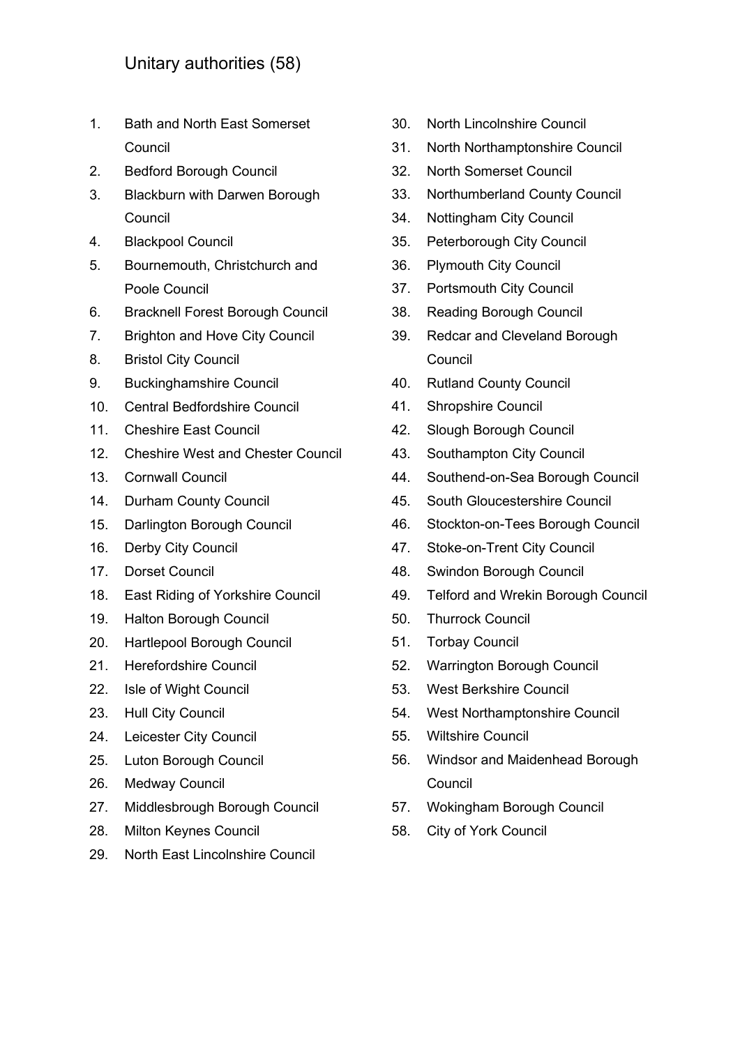- <span id="page-3-0"></span>1. Bath and North East Somerset Council
- 2. Bedford Borough Council
- 3. Blackburn with Darwen Borough **Council**
- 4. Blackpool Council
- 5. Bournemouth, Christchurch and Poole Council
- 6. Bracknell Forest Borough Council
- 7. Brighton and Hove City Council
- 8. Bristol City Council
- 9. Buckinghamshire Council
- 10. Central Bedfordshire Council
- 11. Cheshire East Council
- 12. Cheshire West and Chester Council
- 13. Cornwall Council
- 14. Durham County Council
- 15. Darlington Borough Council
- 16. Derby City Council
- 17. Dorset Council
- 18. East Riding of Yorkshire Council
- 19. Halton Borough Council
- 20. Hartlepool Borough Council
- 21. Herefordshire Council
- 22. Isle of Wight Council
- 23. Hull City Council
- 24. Leicester City Council
- 25. Luton Borough Council
- 26. Medway Council
- 27. Middlesbrough Borough Council
- 28. Milton Keynes Council
- 29. North East Lincolnshire Council
- 30. North Lincolnshire Council
- 31. North Northamptonshire Council
- 32. North Somerset Council
- 33. Northumberland County Council
- 34. Nottingham City Council
- 35. Peterborough City Council
- 36. Plymouth City Council
- 37. Portsmouth City Council
- 38. Reading Borough Council
- 39. Redcar and Cleveland Borough Council
- 40. Rutland County Council
- 41. Shropshire Council
- 42. Slough Borough Council
- 43. Southampton City Council
- 44. Southend-on-Sea Borough Council
- 45. South Gloucestershire Council
- 46. Stockton-on-Tees Borough Council
- 47. Stoke-on-Trent City Council
- 48. Swindon Borough Council
- 49. Telford and Wrekin Borough Council
- 50. Thurrock Council
- 51. Torbay Council
- 52. Warrington Borough Council
- 53. West Berkshire Council
- 54. West Northamptonshire Council
- 55. Wiltshire Council
- 56. Windsor and Maidenhead Borough Council
- 57. Wokingham Borough Council
- 58. City of York Council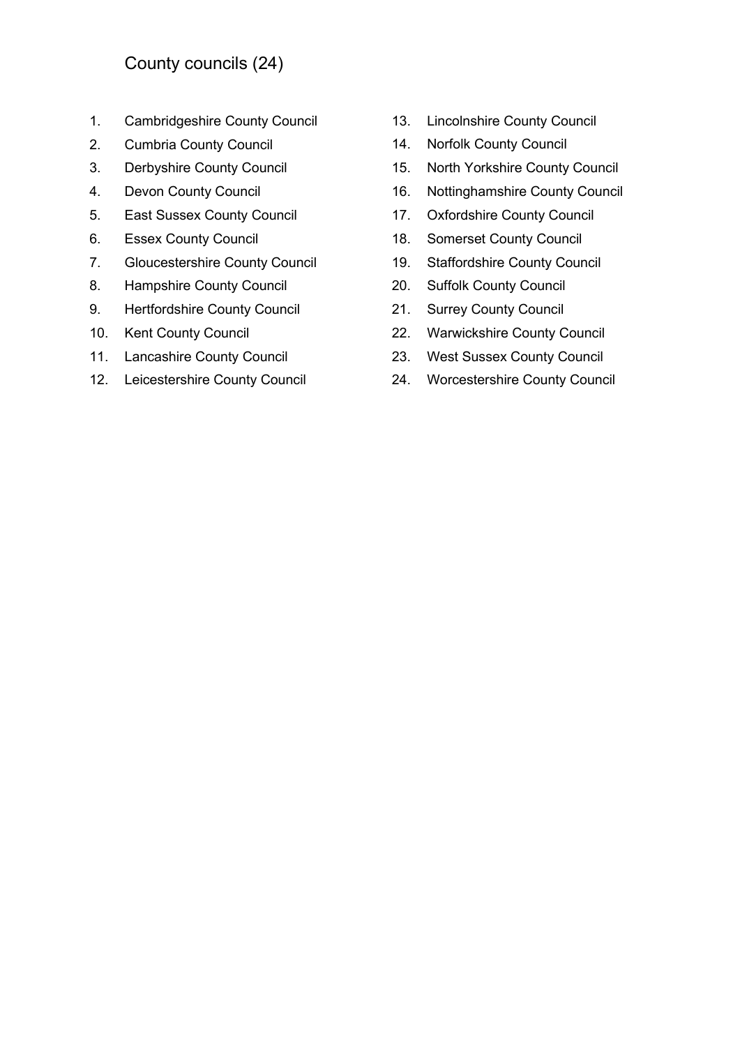## <span id="page-4-0"></span>County councils (24)

- 1. Cambridgeshire County Council
- 2. Cumbria County Council
- 3. Derbyshire County Council
- 4. Devon County Council
- 5. East Sussex County Council
- 6. Essex County Council
- 7. Gloucestershire County Council
- 8. Hampshire County Council
- 9. Hertfordshire County Council
- 10. Kent County Council
- 11. Lancashire County Council
- 12. Leicestershire County Council
- 13. Lincolnshire County Council
- 14. Norfolk County Council
- 15. North Yorkshire County Council
- 16. Nottinghamshire County Council
- 17. Oxfordshire County Council
- 18. Somerset County Council
- 19. Staffordshire County Council
- 20. Suffolk County Council
- 21. Surrey County Council
- 22. Warwickshire County Council
- 23. West Sussex County Council
- 24. Worcestershire County Council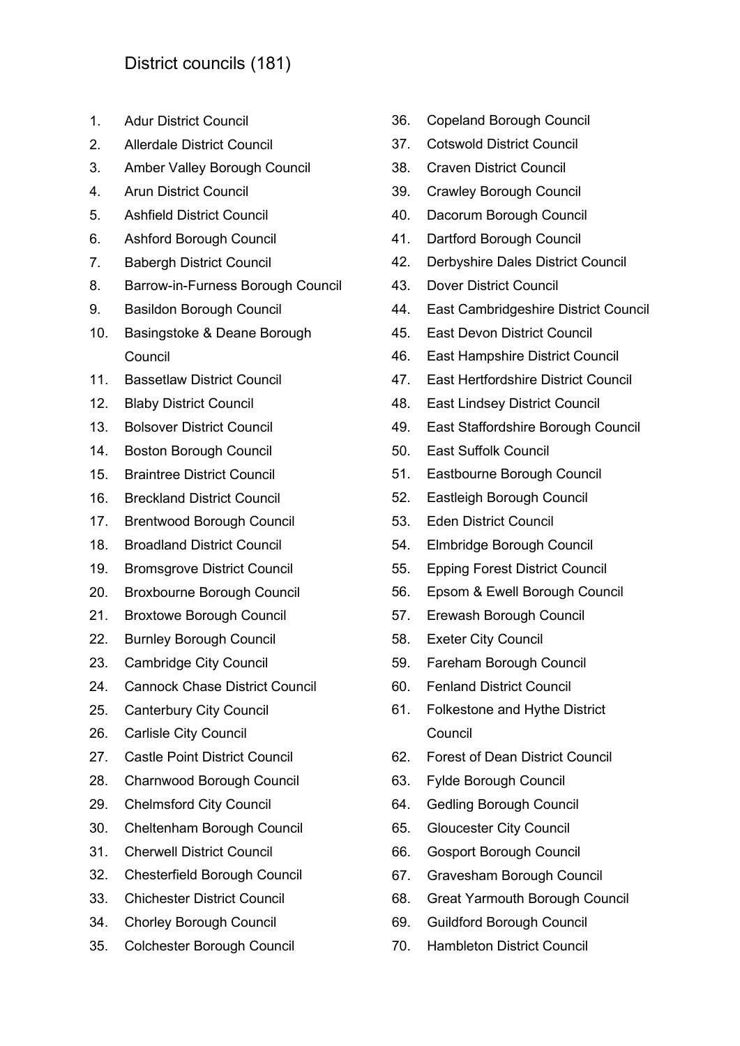- <span id="page-5-0"></span>1. Adur District Council
- 2. Allerdale District Council
- 3. Amber Valley Borough Council
- 4. Arun District Council
- 5. Ashfield District Council
- 6. Ashford Borough Council
- 7. Babergh District Council
- 8. Barrow-in-Furness Borough Council
- 9. Basildon Borough Council
- 10. Basingstoke & Deane Borough **Council**
- 11. Bassetlaw District Council
- 12. Blaby District Council
- 13. Bolsover District Council
- 14. Boston Borough Council
- 15. Braintree District Council
- 16. Breckland District Council
- 17. Brentwood Borough Council
- 18. Broadland District Council
- 19. Bromsgrove District Council
- 20. Broxbourne Borough Council
- 21. Broxtowe Borough Council
- 22. Burnley Borough Council
- 23. Cambridge City Council
- 24. Cannock Chase District Council
- 25. Canterbury City Council
- 26. Carlisle City Council
- 27. Castle Point District Council
- 28. Charnwood Borough Council
- 29. Chelmsford City Council
- 30. Cheltenham Borough Council
- 31. Cherwell District Council
- 32. Chesterfield Borough Council
- 33. Chichester District Council
- 34. Chorley Borough Council
- 35. Colchester Borough Council
- 36. Copeland Borough Council
- 37. Cotswold District Council
- 38. Craven District Council
- 39. Crawley Borough Council
- 40. Dacorum Borough Council
- 41. Dartford Borough Council
- 42. Derbyshire Dales District Council
- 43. Dover District Council
- 44. East Cambridgeshire District Council
- 45. East Devon District Council
- 46. East Hampshire District Council
- 47. East Hertfordshire District Council
- 48. East Lindsey District Council
- 49. East Staffordshire Borough Council
- 50. East Suffolk Council
- 51. Eastbourne Borough Council
- 52. Eastleigh Borough Council
- 53. Eden District Council
- 54. Elmbridge Borough Council
- 55. Epping Forest District Council
- 56. Epsom & Ewell Borough Council
- 57. Erewash Borough Council
- 58. Exeter City Council
- 59. Fareham Borough Council
- 60. Fenland District Council
- 61. Folkestone and Hythe District **Council**
- 62. Forest of Dean District Council
- 63. Fylde Borough Council
- 64. Gedling Borough Council
- 65. Gloucester City Council
- 66. Gosport Borough Council
- 67. Gravesham Borough Council
- 68. Great Yarmouth Borough Council
- 69. Guildford Borough Council
- 70. Hambleton District Council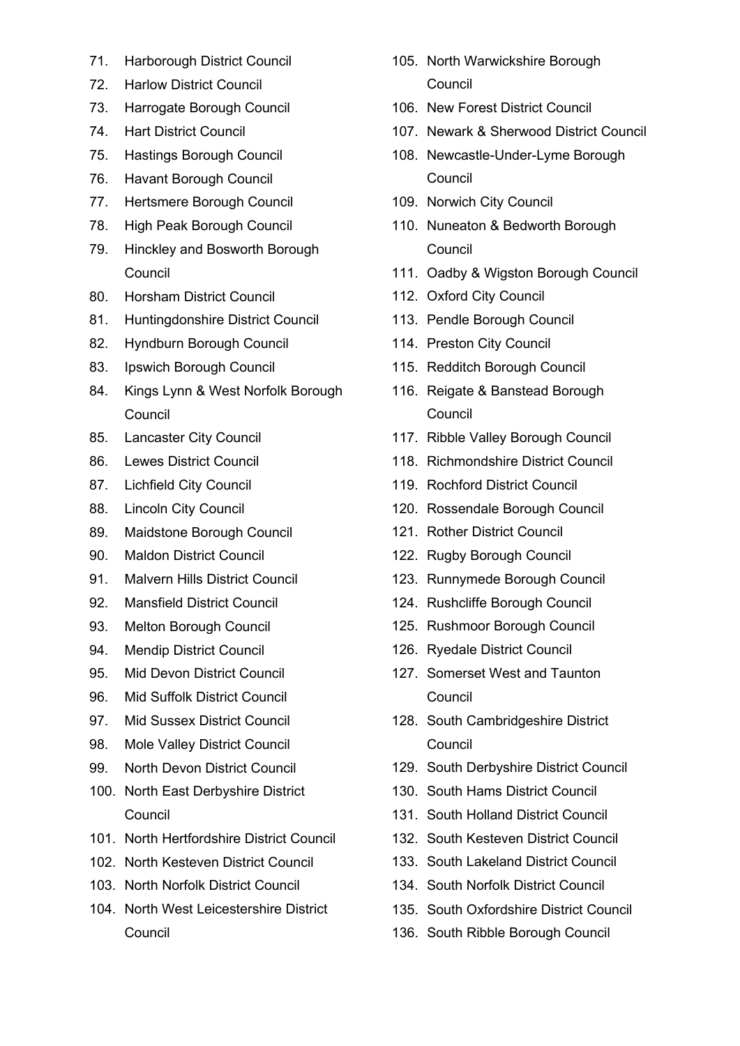- 71. Harborough District Council
- 72. Harlow District Council
- 73. Harrogate Borough Council
- 74. Hart District Council
- 75. Hastings Borough Council
- 76. Havant Borough Council
- 77. Hertsmere Borough Council
- 78. High Peak Borough Council
- 79. Hinckley and Bosworth Borough Council
- 80. Horsham District Council
- 81. Huntingdonshire District Council
- 82. Hyndburn Borough Council
- 83. Ipswich Borough Council
- 84. Kings Lynn & West Norfolk Borough **Council**
- 85. Lancaster City Council
- 86. Lewes District Council
- 87. Lichfield City Council
- 88. Lincoln City Council
- 89. Maidstone Borough Council
- 90. Maldon District Council
- 91. Malvern Hills District Council
- 92. Mansfield District Council
- 93. Melton Borough Council
- 94. Mendip District Council
- 95. Mid Devon District Council
- 96. Mid Suffolk District Council
- 97. Mid Sussex District Council
- 98. Mole Valley District Council
- 99. North Devon District Council
- 100. North East Derbyshire District Council
- 101. North Hertfordshire District Council
- 102. North Kesteven District Council
- 103. North Norfolk District Council
- 104. North West Leicestershire District Council
- 105. North Warwickshire Borough **Council**
- 106. New Forest District Council
- 107. Newark & Sherwood District Council
- 108. Newcastle-Under-Lyme Borough **Council**
- 109. Norwich City Council
- 110. Nuneaton & Bedworth Borough **Council**
- 111. Oadby & Wigston Borough Council
- 112. Oxford City Council
- 113. Pendle Borough Council
- 114. Preston City Council
- 115. Redditch Borough Council
- 116. Reigate & Banstead Borough **Council**
- 117. Ribble Valley Borough Council
- 118. Richmondshire District Council
- 119. Rochford District Council
- 120. Rossendale Borough Council
- 121. Rother District Council
- 122. Rugby Borough Council
- 123. Runnymede Borough Council
- 124. Rushcliffe Borough Council
- 125. Rushmoor Borough Council
- 126. Ryedale District Council
- 127. Somerset West and Taunton **Council**
- 128. South Cambridgeshire District Council
- 129. South Derbyshire District Council
- 130. South Hams District Council
- 131. South Holland District Council
- 132. South Kesteven District Council
- 133. South Lakeland District Council
- 134. South Norfolk District Council
- 135. South Oxfordshire District Council
- 136. South Ribble Borough Council